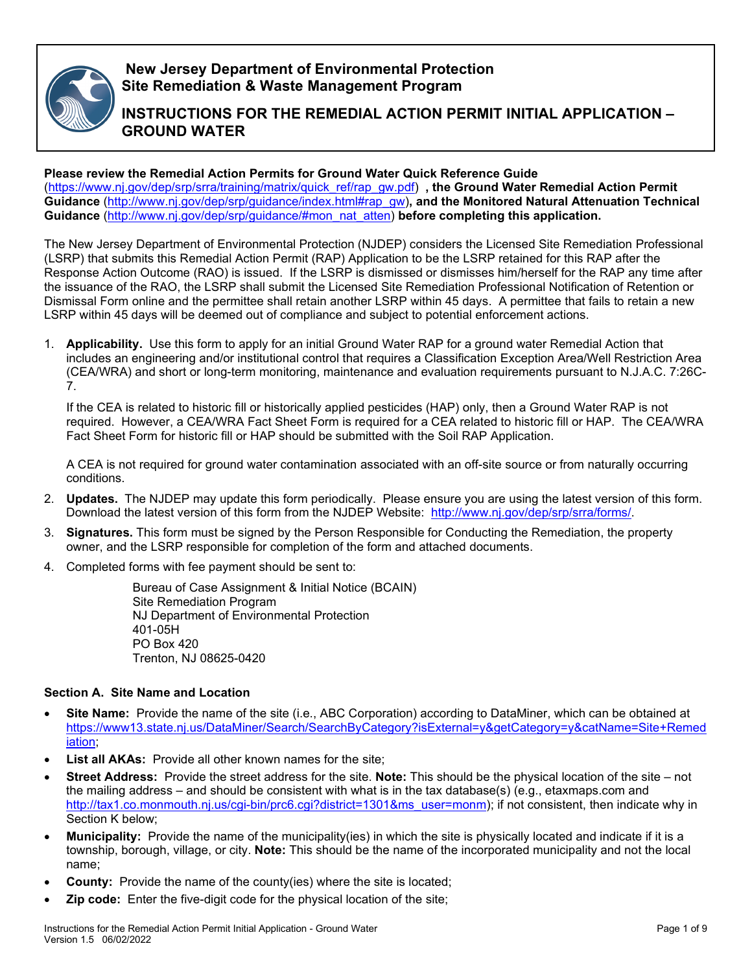

## **New Jersey Department of Environmental Protection Site Remediation & Waste Management Program**

# **INSTRUCTIONS FOR THE REMEDIAL ACTION PERMIT INITIAL APPLICATION – GROUND WATER**

## **Please review the Remedial Action Permits for Ground Water Quick Reference Guide**

[\(https://www.nj.gov/dep/srp/srra/training/matrix/quick\\_ref/rap\\_gw.pdf\)](https://www.nj.gov/dep/srp/srra/training/matrix/quick_ref/rap_gw.pdf) **, the Ground Water Remedial Action Permit Guidance** [\(http://www.nj.gov/dep/srp/guidance/index.html#rap\\_gw\)](http://www.nj.gov/dep/srp/guidance/index.html#rap_gw)**, and the Monitored Natural Attenuation Technical Guidance** [\(http://www.nj.gov/dep/srp/guidance/#mon\\_nat\\_atten\)](http://www.nj.gov/dep/srp/guidance/#mon_nat_atten) **before completing this application.**

The New Jersey Department of Environmental Protection (NJDEP) considers the Licensed Site Remediation Professional (LSRP) that submits this Remedial Action Permit (RAP) Application to be the LSRP retained for this RAP after the Response Action Outcome (RAO) is issued. If the LSRP is dismissed or dismisses him/herself for the RAP any time after the issuance of the RAO, the LSRP shall submit the Licensed Site Remediation Professional Notification of Retention or Dismissal Form online and the permittee shall retain another LSRP within 45 days. A permittee that fails to retain a new LSRP within 45 days will be deemed out of compliance and subject to potential enforcement actions.

1. **Applicability.** Use this form to apply for an initial Ground Water RAP for a ground water Remedial Action that includes an engineering and/or institutional control that requires a Classification Exception Area/Well Restriction Area (CEA/WRA) and short or long-term monitoring, maintenance and evaluation requirements pursuant to N.J.A.C. 7:26C-7.

If the CEA is related to historic fill or historically applied pesticides (HAP) only, then a Ground Water RAP is not required. However, a CEA/WRA Fact Sheet Form is required for a CEA related to historic fill or HAP. The CEA/WRA Fact Sheet Form for historic fill or HAP should be submitted with the Soil RAP Application.

A CEA is not required for ground water contamination associated with an off-site source or from naturally occurring conditions.

- 2. **Updates.** The NJDEP may update this form periodically. Please ensure you are using the latest version of this form. Download the latest version of this form from the NJDEP Website: [http://www.nj.gov/dep/srp/srra/forms/.](http://www.nj.gov/dep/srp/srra/forms/)
- 3. **Signatures.** This form must be signed by the Person Responsible for Conducting the Remediation, the property owner, and the LSRP responsible for completion of the form and attached documents.
- 4. Completed forms with fee payment should be sent to:

Bureau of Case Assignment & Initial Notice (BCAIN) Site Remediation Program NJ Department of Environmental Protection 401-05H PO Box 420 Trenton, NJ 08625-0420

## **Section A. Site Name and Location**

- **Site Name:** Provide the name of the site (i.e., ABC Corporation) according to DataMiner, which can be obtained at [https://www13.state.nj.us/DataMiner/Search/SearchByCategory?isExternal=y&getCategory=y&catName=Site+Remed](https://www13.state.nj.us/DataMiner/Search/SearchByCategory?isExternal=y&getCategory=y&catName=Site+Remediation) [iation;](https://www13.state.nj.us/DataMiner/Search/SearchByCategory?isExternal=y&getCategory=y&catName=Site+Remediation)
- **List all AKAs:** Provide all other known names for the site;
- **Street Address:** Provide the street address for the site. **Note:** This should be the physical location of the site not the mailing address – and should be consistent with what is in the tax database(s) (e.g., etaxmaps.com and [http://tax1.co.monmouth.nj.us/cgi-bin/prc6.cgi?district=1301&ms\\_user=monm\)](http://tax1.co.monmouth.nj.us/cgi-bin/prc6.cgi?district=1301&ms_user=monm); if not consistent, then indicate why in Section K below;
- **Municipality:** Provide the name of the municipality(ies) in which the site is physically located and indicate if it is a township, borough, village, or city. **Note:** This should be the name of the incorporated municipality and not the local name;
- **County:** Provide the name of the county(ies) where the site is located;
- **Zip code:** Enter the five-digit code for the physical location of the site;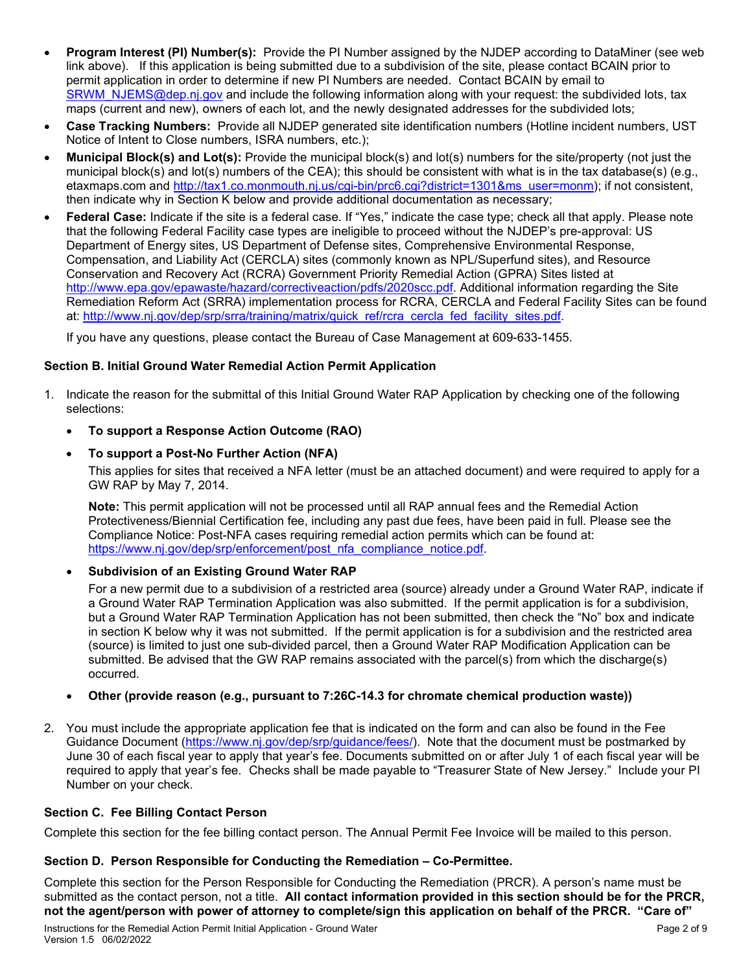- **Program Interest (PI) Number(s):** Provide the PI Number assigned by the NJDEP according to DataMiner (see web link above). If this application is being submitted due to a subdivision of the site, please contact BCAIN prior to permit application in order to determine if new PI Numbers are needed. Contact BCAIN by email to [SRWM\\_NJEMS@dep.nj.gov](mailto:SRWM_NJEMS@dep.nj.gov) and include the following information along with your request: the subdivided lots, tax maps (current and new), owners of each lot, and the newly designated addresses for the subdivided lots;
- **Case Tracking Numbers:** Provide all NJDEP generated site identification numbers (Hotline incident numbers, UST Notice of Intent to Close numbers, ISRA numbers, etc.);
- **Municipal Block(s) and Lot(s):** Provide the municipal block(s) and lot(s) numbers for the site/property (not just the municipal block(s) and lot(s) numbers of the CEA); this should be consistent with what is in the tax database(s) (e.g., etaxmaps.com and [http://tax1.co.monmouth.nj.us/cgi-bin/prc6.cgi?district=1301&ms\\_user=monm\)](http://tax1.co.monmouth.nj.us/cgi-bin/prc6.cgi?district=1301&ms_user=monm); if not consistent, then indicate why in Section K below and provide additional documentation as necessary;
- **Federal Case:** Indicate if the site is a federal case. If "Yes," indicate the case type; check all that apply. Please note that the following Federal Facility case types are ineligible to proceed without the NJDEP's pre-approval: US Department of Energy sites, US Department of Defense sites, Comprehensive Environmental Response, Compensation, and Liability Act (CERCLA) sites (commonly known as NPL/Superfund sites), and Resource Conservation and Recovery Act (RCRA) Government Priority Remedial Action (GPRA) Sites listed at [http://www.epa.gov/epawaste/hazard/correctiveaction/pdfs/2020scc.pdf.](http://www.epa.gov/epawaste/hazard/correctiveaction/pdfs/2020scc.pdf) Additional information regarding the Site Remediation Reform Act (SRRA) implementation process for RCRA, CERCLA and Federal Facility Sites can be found at: [http://www.nj.gov/dep/srp/srra/training/matrix/quick\\_ref/rcra\\_cercla\\_fed\\_facility\\_sites.pdf.](http://www.nj.gov/dep/srp/srra/training/matrix/quick_ref/rcra_cercla_fed_facility_sites.pdf)

If you have any questions, please contact the Bureau of Case Management at 609-633-1455.

## **Section B. Initial Ground Water Remedial Action Permit Application**

- 1. Indicate the reason for the submittal of this Initial Ground Water RAP Application by checking one of the following selections:
	- **To support a Response Action Outcome (RAO)**
	- **To support a Post-No Further Action (NFA)**

This applies for sites that received a NFA letter (must be an attached document) and were required to apply for a GW RAP by May 7, 2014.

**Note:** This permit application will not be processed until all RAP annual fees and the Remedial Action Protectiveness/Biennial Certification fee, including any past due fees, have been paid in full. Please see the Compliance Notice: Post-NFA cases requiring remedial action permits which can be found at: [https://www.nj.gov/dep/srp/enforcement/post\\_nfa\\_compliance\\_notice.pdf.](https://www.nj.gov/dep/srp/enforcement/post_nfa_compliance_notice.pdf)

• **Subdivision of an Existing Ground Water RAP**

For a new permit due to a subdivision of a restricted area (source) already under a Ground Water RAP, indicate if a Ground Water RAP Termination Application was also submitted. If the permit application is for a subdivision, but a Ground Water RAP Termination Application has not been submitted, then check the "No" box and indicate in section K below why it was not submitted. If the permit application is for a subdivision and the restricted area (source) is limited to just one sub-divided parcel, then a Ground Water RAP Modification Application can be submitted. Be advised that the GW RAP remains associated with the parcel(s) from which the discharge(s) occurred.

## • **Other (provide reason (e.g., pursuant to 7:26C-14.3 for chromate chemical production waste))**

2. You must include the appropriate application fee that is indicated on the form and can also be found in the Fee Guidance Document [\(https://www.nj.gov/dep/srp/guidance/fees/\)](https://www.nj.gov/dep/srp/guidance/fees/). Note that the document must be postmarked by June 30 of each fiscal year to apply that year's fee. Documents submitted on or after July 1 of each fiscal year will be required to apply that year's fee. Checks shall be made payable to "Treasurer State of New Jersey." Include your PI Number on your check.

## **Section C. Fee Billing Contact Person**

Complete this section for the fee billing contact person. The Annual Permit Fee Invoice will be mailed to this person.

## **Section D. Person Responsible for Conducting the Remediation – Co-Permittee.**

Complete this section for the Person Responsible for Conducting the Remediation (PRCR). A person's name must be submitted as the contact person, not a title. **All contact information provided in this section should be for the PRCR, not the agent/person with power of attorney to complete/sign this application on behalf of the PRCR. "Care of"**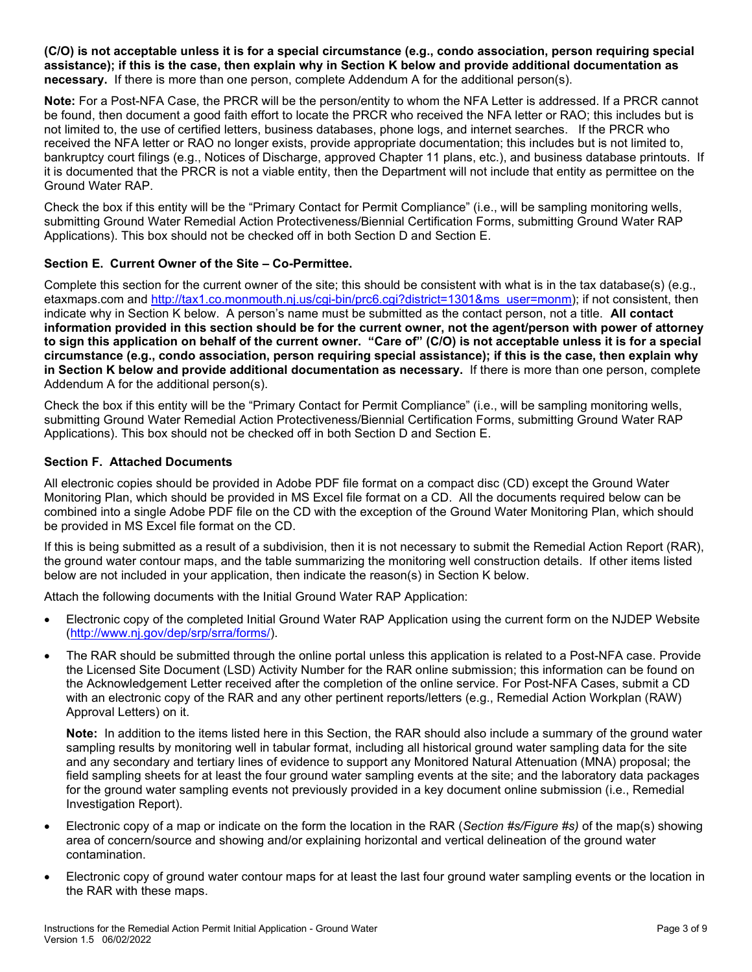**(C/O) is not acceptable unless it is for a special circumstance (e.g., condo association, person requiring special assistance); if this is the case, then explain why in Section K below and provide additional documentation as necessary.** If there is more than one person, complete Addendum A for the additional person(s).

**Note:** For a Post-NFA Case, the PRCR will be the person/entity to whom the NFA Letter is addressed. If a PRCR cannot be found, then document a good faith effort to locate the PRCR who received the NFA letter or RAO; this includes but is not limited to, the use of certified letters, business databases, phone logs, and internet searches. If the PRCR who received the NFA letter or RAO no longer exists, provide appropriate documentation; this includes but is not limited to, bankruptcy court filings (e.g., Notices of Discharge, approved Chapter 11 plans, etc.), and business database printouts. If it is documented that the PRCR is not a viable entity, then the Department will not include that entity as permittee on the Ground Water RAP.

Check the box if this entity will be the "Primary Contact for Permit Compliance" (i.e., will be sampling monitoring wells, submitting Ground Water Remedial Action Protectiveness/Biennial Certification Forms, submitting Ground Water RAP Applications). This box should not be checked off in both Section D and Section E.

## **Section E. Current Owner of the Site – Co-Permittee.**

Complete this section for the current owner of the site; this should be consistent with what is in the tax database(s) (e.g., etaxmaps.com and [http://tax1.co.monmouth.nj.us/cgi-bin/prc6.cgi?district=1301&ms\\_user=monm\)](http://tax1.co.monmouth.nj.us/cgi-bin/prc6.cgi?district=1301&ms_user=monm); if not consistent, then indicate why in Section K below. A person's name must be submitted as the contact person, not a title. **All contact information provided in this section should be for the current owner, not the agent/person with power of attorney to sign this application on behalf of the current owner. "Care of" (C/O) is not acceptable unless it is for a special circumstance (e.g., condo association, person requiring special assistance); if this is the case, then explain why in Section K below and provide additional documentation as necessary.** If there is more than one person, complete Addendum A for the additional person(s).

Check the box if this entity will be the "Primary Contact for Permit Compliance" (i.e., will be sampling monitoring wells, submitting Ground Water Remedial Action Protectiveness/Biennial Certification Forms, submitting Ground Water RAP Applications). This box should not be checked off in both Section D and Section E.

#### **Section F. Attached Documents**

All electronic copies should be provided in Adobe PDF file format on a compact disc (CD) except the Ground Water Monitoring Plan, which should be provided in MS Excel file format on a CD. All the documents required below can be combined into a single Adobe PDF file on the CD with the exception of the Ground Water Monitoring Plan, which should be provided in MS Excel file format on the CD.

If this is being submitted as a result of a subdivision, then it is not necessary to submit the Remedial Action Report (RAR), the ground water contour maps, and the table summarizing the monitoring well construction details. If other items listed below are not included in your application, then indicate the reason(s) in Section K below.

Attach the following documents with the Initial Ground Water RAP Application:

- Electronic copy of the completed Initial Ground Water RAP Application using the current form on the NJDEP Website [\(http://www.nj.gov/dep/srp/srra/forms/\)](http://www.nj.gov/dep/srp/srra/forms/).
- The RAR should be submitted through the online portal unless this application is related to a Post-NFA case. Provide the Licensed Site Document (LSD) Activity Number for the RAR online submission; this information can be found on the Acknowledgement Letter received after the completion of the online service. For Post-NFA Cases, submit a CD with an electronic copy of the RAR and any other pertinent reports/letters (e.g., Remedial Action Workplan (RAW) Approval Letters) on it.

**Note:** In addition to the items listed here in this Section, the RAR should also include a summary of the ground water sampling results by monitoring well in tabular format, including all historical ground water sampling data for the site and any secondary and tertiary lines of evidence to support any Monitored Natural Attenuation (MNA) proposal; the field sampling sheets for at least the four ground water sampling events at the site; and the laboratory data packages for the ground water sampling events not previously provided in a key document online submission (i.e., Remedial Investigation Report).

- Electronic copy of a map or indicate on the form the location in the RAR (*Section #s/Figure #s)* of the map(s) showing area of concern/source and showing and/or explaining horizontal and vertical delineation of the ground water contamination.
- Electronic copy of ground water contour maps for at least the last four ground water sampling events or the location in the RAR with these maps.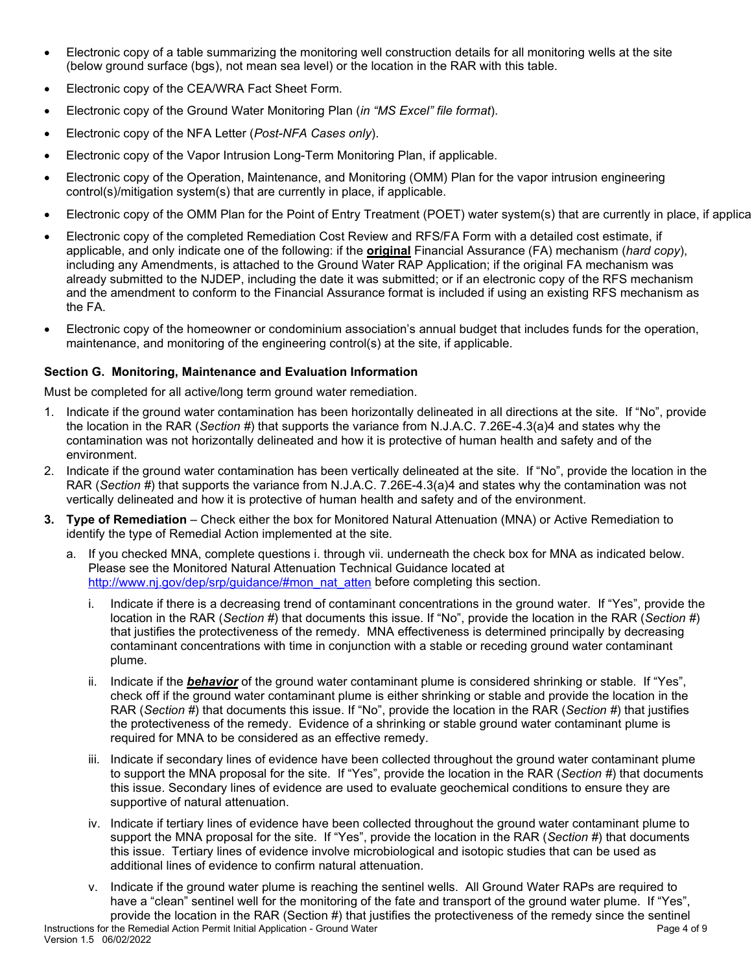- Electronic copy of a table summarizing the monitoring well construction details for all monitoring wells at the site (below ground surface (bgs), not mean sea level) or the location in the RAR with this table.
- Electronic copy of the CEA/WRA Fact Sheet Form.
- Electronic copy of the Ground Water Monitoring Plan (*in "MS Excel" file format*).
- Electronic copy of the NFA Letter (*Post-NFA Cases only*).
- Electronic copy of the Vapor Intrusion Long-Term Monitoring Plan, if applicable.
- Electronic copy of the Operation, Maintenance, and Monitoring (OMM) Plan for the vapor intrusion engineering control(s)/mitigation system(s) that are currently in place, if applicable.
- Electronic copy of the OMM Plan for the Point of Entry Treatment (POET) water system(s) that are currently in place, if applica
- Electronic copy of the completed Remediation Cost Review and RFS/FA Form with a detailed cost estimate, if applicable, and only indicate one of the following: if the **original** Financial Assurance (FA) mechanism (*hard copy*), including any Amendments, is attached to the Ground Water RAP Application; if the original FA mechanism was already submitted to the NJDEP, including the date it was submitted; or if an electronic copy of the RFS mechanism and the amendment to conform to the Financial Assurance format is included if using an existing RFS mechanism as the FA.
- Electronic copy of the homeowner or condominium association's annual budget that includes funds for the operation, maintenance, and monitoring of the engineering control(s) at the site, if applicable.

## **Section G. Monitoring, Maintenance and Evaluation Information**

Must be completed for all active/long term ground water remediation.

- 1. Indicate if the ground water contamination has been horizontally delineated in all directions at the site. If "No", provide the location in the RAR (*Section #*) that supports the variance from N.J.A.C. 7.26E-4.3(a)4 and states why the contamination was not horizontally delineated and how it is protective of human health and safety and of the environment.
- 2. Indicate if the ground water contamination has been vertically delineated at the site. If "No", provide the location in the RAR (*Section #*) that supports the variance from N.J.A.C. 7.26E-4.3(a)4 and states why the contamination was not vertically delineated and how it is protective of human health and safety and of the environment.
- **3. Type of Remediation** Check either the box for Monitored Natural Attenuation (MNA) or Active Remediation to identify the type of Remedial Action implemented at the site.
	- a. If you checked MNA, complete questions i. through vii. underneath the check box for MNA as indicated below. Please see the Monitored Natural Attenuation Technical Guidance located at [http://www.nj.gov/dep/srp/guidance/#mon\\_nat\\_atten](http://www.nj.gov/dep/srp/guidance/#mon_nat_atten) before completing this section.
		- i. Indicate if there is a decreasing trend of contaminant concentrations in the ground water. If "Yes", provide the location in the RAR (*Section #*) that documents this issue. If "No", provide the location in the RAR (*Section #*) that justifies the protectiveness of the remedy.MNA effectiveness is determined principally by decreasing contaminant concentrations with time in conjunction with a stable or receding ground water contaminant plume.
		- ii. Indicate if the **behavior** of the ground water contaminant plume is considered shrinking or stable. If "Yes", check off if the ground water contaminant plume is either shrinking or stable and provide the location in the RAR (*Section #*) that documents this issue. If "No", provide the location in the RAR (*Section #*) that justifies the protectiveness of the remedy. Evidence of a shrinking or stable ground water contaminant plume is required for MNA to be considered as an effective remedy.
		- iii. Indicate if secondary lines of evidence have been collected throughout the ground water contaminant plume to support the MNA proposal for the site. If "Yes", provide the location in the RAR (*Section #*) that documents this issue. Secondary lines of evidence are used to evaluate geochemical conditions to ensure they are supportive of natural attenuation.
		- iv. Indicate if tertiary lines of evidence have been collected throughout the ground water contaminant plume to support the MNA proposal for the site. If "Yes", provide the location in the RAR (*Section #*) that documents this issue. Tertiary lines of evidence involve microbiological and isotopic studies that can be used as additional lines of evidence to confirm natural attenuation.
		- v. Indicate if the ground water plume is reaching the sentinel wells. All Ground Water RAPs are required to have a "clean" sentinel well for the monitoring of the fate and transport of the ground water plume. If "Yes", provide the location in the RAR (Section #) that justifies the protectiveness of the remedy since the sentinel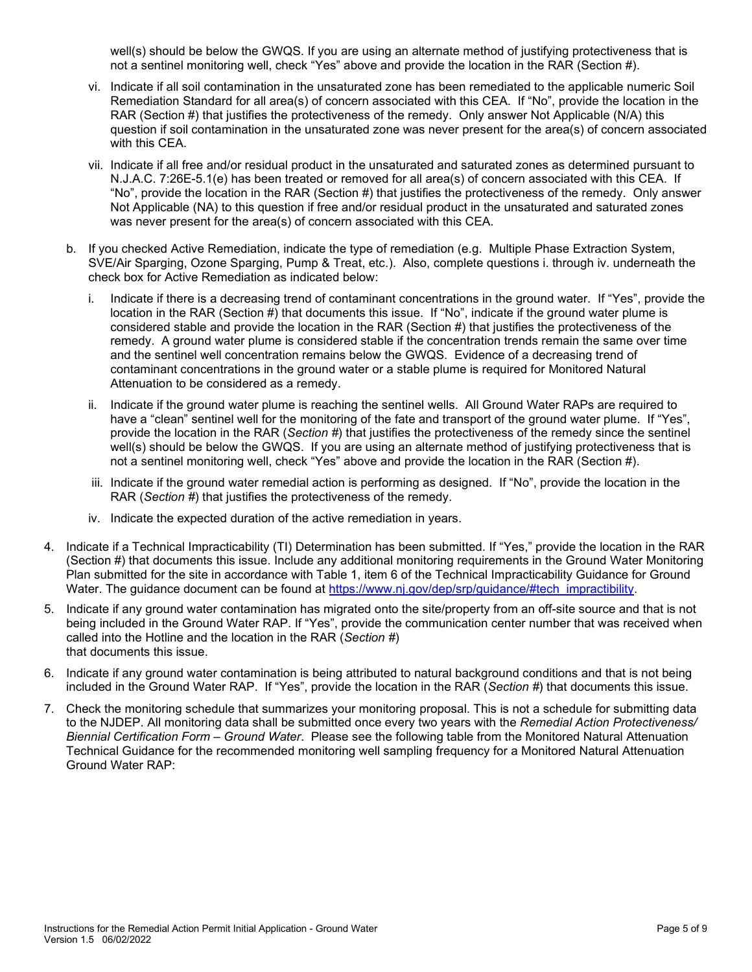well(s) should be below the GWQS. If you are using an alternate method of justifying protectiveness that is not a sentinel monitoring well, check "Yes" above and provide the location in the RAR (Section #).

- vi. Indicate if all soil contamination in the unsaturated zone has been remediated to the applicable numeric Soil Remediation Standard for all area(s) of concern associated with this CEA. If "No", provide the location in the RAR (Section #) that justifies the protectiveness of the remedy. Only answer Not Applicable (N/A) this question if soil contamination in the unsaturated zone was never present for the area(s) of concern associated with this CEA.
- vii. Indicate if all free and/or residual product in the unsaturated and saturated zones as determined pursuant to N.J.A.C. 7:26E-5.1(e) has been treated or removed for all area(s) of concern associated with this CEA. If "No", provide the location in the RAR (Section #) that justifies the protectiveness of the remedy. Only answer Not Applicable (NA) to this question if free and/or residual product in the unsaturated and saturated zones was never present for the area(s) of concern associated with this CEA.
- b. If you checked Active Remediation, indicate the type of remediation (e.g. Multiple Phase Extraction System, SVE/Air Sparging, Ozone Sparging, Pump & Treat, etc.). Also, complete questions i. through iv. underneath the check box for Active Remediation as indicated below:
	- i. Indicate if there is a decreasing trend of contaminant concentrations in the ground water. If "Yes", provide the location in the RAR (Section  $\sharp \bar{)}$  that documents this issue. If "No", indicate if the ground water plume is considered stable and provide the location in the RAR (Section #) that justifies the protectiveness of the remedy.A ground water plume is considered stable if the concentration trends remain the same over time and the sentinel well concentration remains below the GWQS. Evidence of a decreasing trend of contaminant concentrations in the ground water or a stable plume is required for Monitored Natural Attenuation to be considered as a remedy.
	- ii. Indicate if the ground water plume is reaching the sentinel wells. All Ground Water RAPs are required to have a "clean" sentinel well for the monitoring of the fate and transport of the ground water plume. If "Yes", provide the location in the RAR (*Section #*) that justifies the protectiveness of the remedy since the sentinel well(s) should be below the GWQS. If you are using an alternate method of justifying protectiveness that is not a sentinel monitoring well, check "Yes" above and provide the location in the RAR (Section #).
	- iii. Indicate if the ground water remedial action is performing as designed. If "No", provide the location in the RAR (*Section #*) that justifies the protectiveness of the remedy.
	- iv. Indicate the expected duration of the active remediation in years.
- 4. Indicate if a Technical Impracticability (TI) Determination has been submitted. If "Yes," provide the location in the RAR (Section #) that documents this issue. Include any additional monitoring requirements in the Ground Water Monitoring Plan submitted for the site in accordance with Table 1, item 6 of the Technical Impracticability Guidance for Ground Water. The guidance document can be found at [https://www.nj.gov/dep/srp/guidance/#tech\\_impractibility.](https://www.nj.gov/dep/srp/guidance/#tech_impractibility)
- 5. Indicate if any ground water contamination has migrated onto the site/property from an off-site source and that is not being included in the Ground Water RAP. If "Yes", provide the communication center number that was received when called into the Hotline and the location in the RAR (*Section #*) that documents this issue.
- 6. Indicate if any ground water contamination is being attributed to natural background conditions and that is not being included in the Ground Water RAP. If "Yes", provide the location in the RAR (*Section #*) that documents this issue.
- 7. Check the monitoring schedule that summarizes your monitoring proposal. This is not a schedule for submitting data to the NJDEP. All monitoring data shall be submitted once every two years with the *Remedial Action Protectiveness/ Biennial Certification Form – Ground Water*. Please see the following table from the Monitored Natural Attenuation Technical Guidance for the recommended monitoring well sampling frequency for a Monitored Natural Attenuation Ground Water RAP: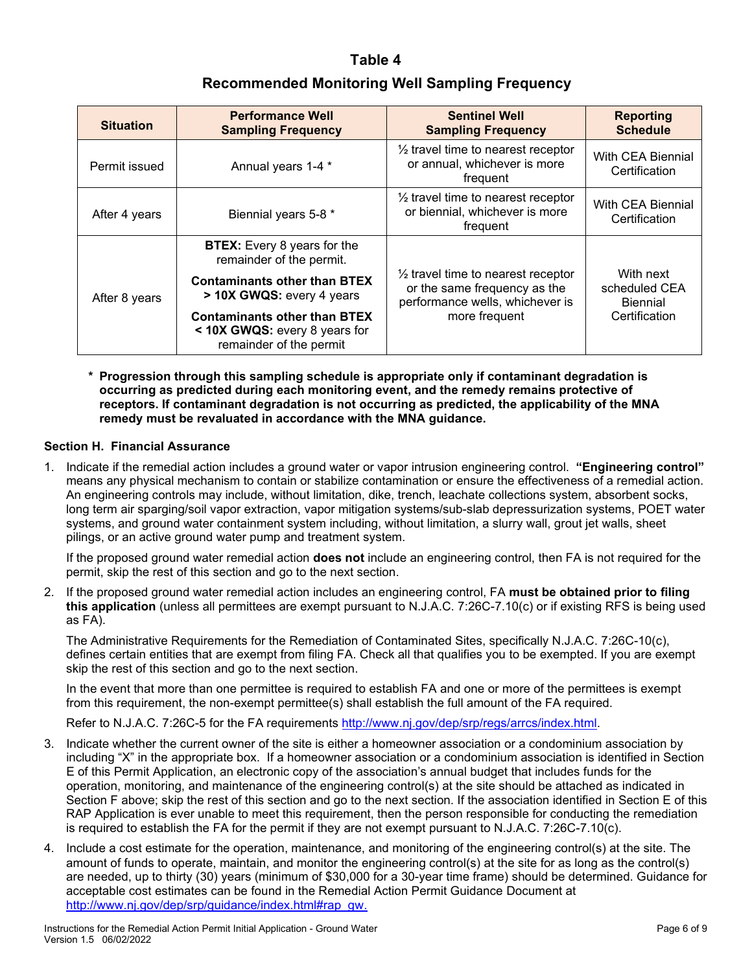## **Table 4**

# **Recommended Monitoring Well Sampling Frequency**

| <b>Situation</b> | <b>Performance Well</b><br><b>Sampling Frequency</b>                                            | <b>Sentinel Well</b><br><b>Sampling Frequency</b>                                                                | <b>Reporting</b><br><b>Schedule</b>                            |
|------------------|-------------------------------------------------------------------------------------------------|------------------------------------------------------------------------------------------------------------------|----------------------------------------------------------------|
| Permit issued    | Annual years 1-4 *                                                                              | $\frac{1}{2}$ travel time to nearest receptor<br>or annual, whichever is more<br>frequent                        | <b>With CEA Biennial</b><br>Certification                      |
| After 4 years    | Biennial years 5-8 *                                                                            | $\frac{1}{2}$ travel time to nearest receptor<br>or biennial, whichever is more<br>frequent                      | With CEA Biennial<br>Certification                             |
| After 8 years    | <b>BTEX:</b> Every 8 years for the<br>remainder of the permit.                                  | $\frac{1}{2}$ travel time to nearest receptor<br>or the same frequency as the<br>performance wells, whichever is | With next<br>scheduled CEA<br><b>Biennial</b><br>Certification |
|                  | <b>Contaminants other than BTEX</b><br>> 10X GWQS: every 4 years                                |                                                                                                                  |                                                                |
|                  | <b>Contaminants other than BTEX</b><br>< 10X GWQS: every 8 years for<br>remainder of the permit | more frequent                                                                                                    |                                                                |

**\* Progression through this sampling schedule is appropriate only if contaminant degradation is occurring as predicted during each monitoring event, and the remedy remains protective of receptors. If contaminant degradation is not occurring as predicted, the applicability of the MNA remedy must be revaluated in accordance with the MNA guidance.**

#### **Section H. Financial Assurance**

1. Indicate if the remedial action includes a ground water or vapor intrusion engineering control. **"Engineering control"**  means any physical mechanism to contain or stabilize contamination or ensure the effectiveness of a remedial action. An engineering controls may include, without limitation, dike, trench, leachate collections system, absorbent socks, long term air sparging/soil vapor extraction, vapor mitigation systems/sub-slab depressurization systems, POET water systems, and ground water containment system including, without limitation, a slurry wall, grout jet walls, sheet pilings, or an active ground water pump and treatment system.

If the proposed ground water remedial action **does not** include an engineering control, then FA is not required for the permit, skip the rest of this section and go to the next section.

2. If the proposed ground water remedial action includes an engineering control, FA **must be obtained prior to filing this application** (unless all permittees are exempt pursuant to N.J.A.C. 7:26C-7.10(c) or if existing RFS is being used as FA).

The Administrative Requirements for the Remediation of Contaminated Sites, specifically N.J.A.C. 7:26C-10(c), defines certain entities that are exempt from filing FA. Check all that qualifies you to be exempted. If you are exempt skip the rest of this section and go to the next section.

In the event that more than one permittee is required to establish FA and one or more of the permittees is exempt from this requirement, the non-exempt permittee(s) shall establish the full amount of the FA required.

Refer to N.J.A.C. 7:26C-5 for the FA requirements [http://www.nj.gov/dep/srp/regs/arrcs/index.html.](http://www.nj.gov/dep/srp/regs/arrcs/index.html)

- 3. Indicate whether the current owner of the site is either a homeowner association or a condominium association by including "X" in the appropriate box. If a homeowner association or a condominium association is identified in Section E of this Permit Application, an electronic copy of the association's annual budget that includes funds for the operation, monitoring, and maintenance of the engineering control(s) at the site should be attached as indicated in Section F above; skip the rest of this section and go to the next section. If the association identified in Section E of this RAP Application is ever unable to meet this requirement, then the person responsible for conducting the remediation is required to establish the FA for the permit if they are not exempt pursuant to N.J.A.C. 7:26C-7.10(c).
- 4. Include a cost estimate for the operation, maintenance, and monitoring of the engineering control(s) at the site. The amount of funds to operate, maintain, and monitor the engineering control(s) at the site for as long as the control(s) are needed, up to thirty (30) years (minimum of \$30,000 for a 30-year time frame) should be determined. Guidance for acceptable cost estimates can be found in the Remedial Action Permit Guidance Document at [http://www.nj.gov/dep/srp/guidance/index.html#rap\\_gw.](http://www.nj.gov/dep/srp/guidance/index.html#rap_gw)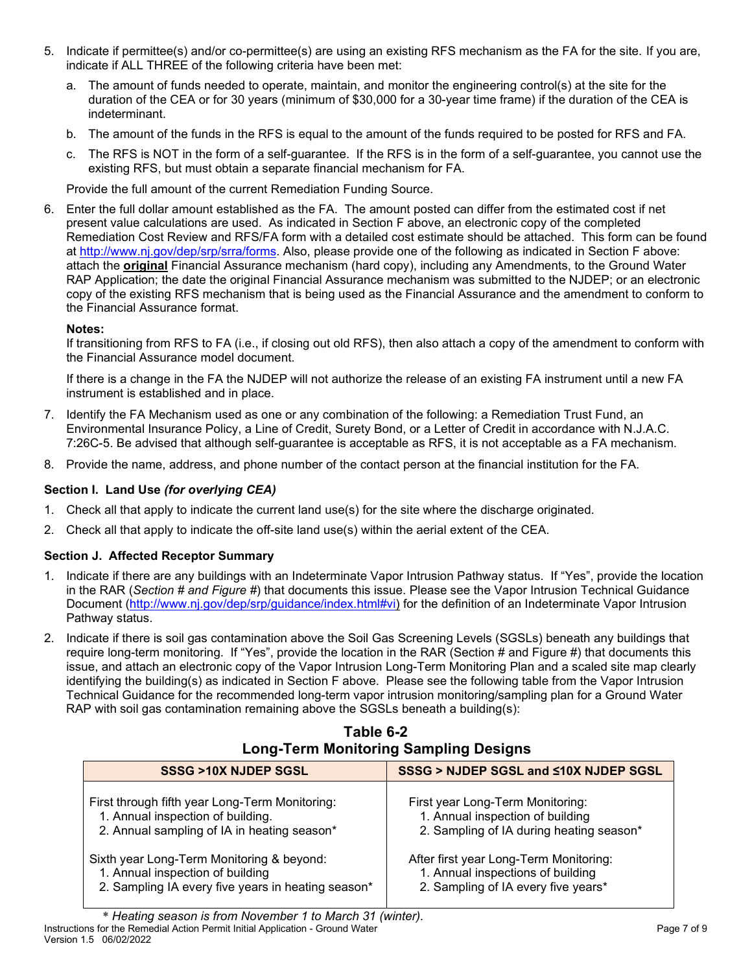- 5. Indicate if permittee(s) and/or co-permittee(s) are using an existing RFS mechanism as the FA for the site. If you are, indicate if ALL THREE of the following criteria have been met:
	- a. The amount of funds needed to operate, maintain, and monitor the engineering control(s) at the site for the duration of the CEA or for 30 years (minimum of \$30,000 for a 30-year time frame) if the duration of the CEA is indeterminant.
	- b. The amount of the funds in the RFS is equal to the amount of the funds required to be posted for RFS and FA.
	- c. The RFS is NOT in the form of a self-guarantee. If the RFS is in the form of a self-guarantee, you cannot use the existing RFS, but must obtain a separate financial mechanism for FA.

Provide the full amount of the current Remediation Funding Source.

6. Enter the full dollar amount established as the FA. The amount posted can differ from the estimated cost if net present value calculations are used. As indicated in Section F above, an electronic copy of the completed Remediation Cost Review and RFS/FA form with a detailed cost estimate should be attached. This form can be found at http://www.nj.gov/dep/srp/srra/forms. Also, please provide one of the following as indicated in Section F above: attach the **original** Financial Assurance mechanism (hard copy), including any Amendments, to the Ground Water RAP Application; the date the original Financial Assurance mechanism was submitted to the NJDEP; or an electronic copy of the existing RFS mechanism that is being used as the Financial Assurance and the amendment to conform to the Financial Assurance format.

## **Notes:**

If transitioning from RFS to FA (i.e., if closing out old RFS), then also attach a copy of the amendment to conform with the Financial Assurance model document.

If there is a change in the FA the NJDEP will not authorize the release of an existing FA instrument until a new FA instrument is established and in place.

- 7. Identify the FA Mechanism used as one or any combination of the following: a Remediation Trust Fund, an Environmental Insurance Policy, a Line of Credit, Surety Bond, or a Letter of Credit in accordance with N.J.A.C. 7:26C-5. Be advised that although self-guarantee is acceptable as RFS, it is not acceptable as a FA mechanism.
- 8. Provide the name, address, and phone number of the contact person at the financial institution for the FA.

## **Section I. Land Use** *(for overlying CEA)*

- 1. Check all that apply to indicate the current land use(s) for the site where the discharge originated.
- 2. Check all that apply to indicate the off-site land use(s) within the aerial extent of the CEA.

## **Section J. Affected Receptor Summary**

- 1. Indicate if there are any buildings with an Indeterminate Vapor Intrusion Pathway status. If "Yes", provide the location in the RAR (*Section # and Figure #*) that documents this issue. Please see the Vapor Intrusion Technical Guidance Document (http://www.nj.gov/dep/srp/guidance/index.html#vi) for the definition of an Indeterminate Vapor Intrusion Pathway status.
- 2. Indicate if there is soil gas contamination above the Soil Gas Screening Levels (SGSLs) beneath any buildings that require long-term monitoring. If "Yes", provide the location in the RAR (Section # and Figure #) that documents this issue, and attach an electronic copy of the Vapor Intrusion Long-Term Monitoring Plan and a scaled site map clearly identifying the building(s) as indicated in Section F above. Please see the following table from the Vapor Intrusion Technical Guidance for the recommended long-term vapor intrusion monitoring/sampling plan for a Ground Water RAP with soil gas contamination remaining above the SGSLs beneath a building(s):

| Table 6-2                                    |  |  |  |
|----------------------------------------------|--|--|--|
| <b>Long-Term Monitoring Sampling Designs</b> |  |  |  |

| SSSG >10X NJDEP SGSL                               | SSSG > NJDEP SGSL and <10X NJDEP SGSL    |
|----------------------------------------------------|------------------------------------------|
| First through fifth year Long-Term Monitoring:     | First year Long-Term Monitoring:         |
| 1. Annual inspection of building.                  | 1. Annual inspection of building         |
| 2. Annual sampling of IA in heating season*        | 2. Sampling of IA during heating season* |
| Sixth year Long-Term Monitoring & beyond:          | After first year Long-Term Monitoring:   |
| 1. Annual inspection of building                   | 1. Annual inspections of building        |
| 2. Sampling IA every five years in heating season* | 2. Sampling of IA every five years*      |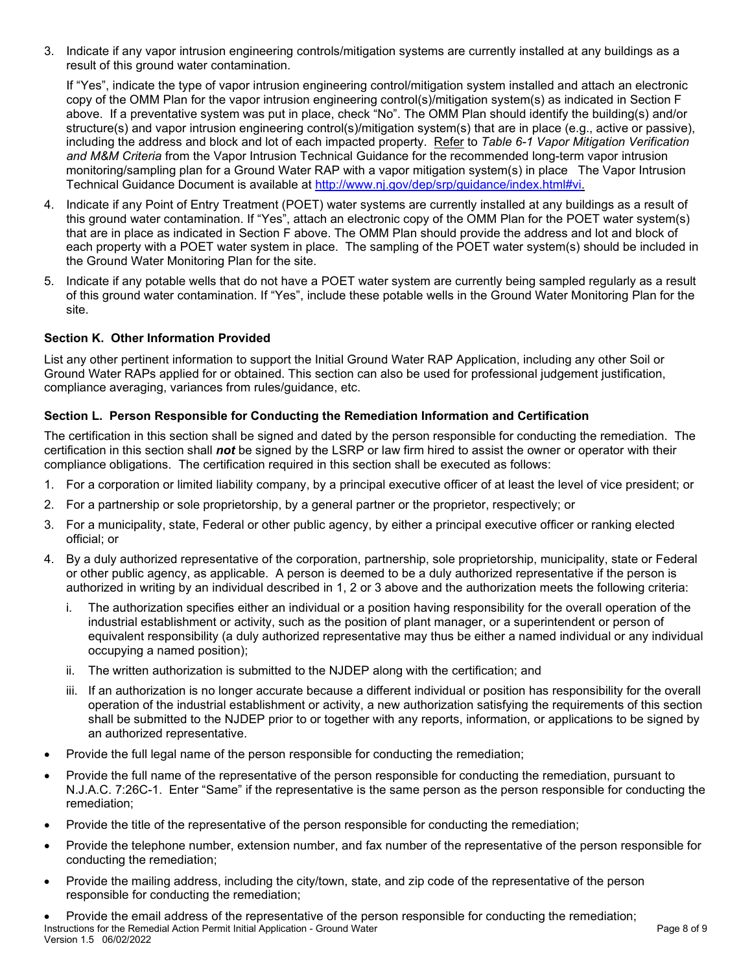3. Indicate if any vapor intrusion engineering controls/mitigation systems are currently installed at any buildings as a result of this ground water contamination.

If "Yes", indicate the type of vapor intrusion engineering control/mitigation system installed and attach an electronic copy of the OMM Plan for the vapor intrusion engineering control(s)/mitigation system(s) as indicated in Section F above. If a preventative system was put in place, check "No". The OMM Plan should identify the building(s) and/or structure(s) and vapor intrusion engineering control(s)/mitigation system(s) that are in place (e.g., active or passive), including the address and block and lot of each impacted property. Refer to *Table 6-1 Vapor Mitigation Verification and M&M Criteria* from the Vapor Intrusion Technical Guidance for the recommended long-term vapor intrusion monitoring/sampling plan for a Ground Water RAP with a vapor mitigation system(s) in place The Vapor Intrusion Technical Guidance Document is available at http://www.nj.gov/dep/srp/guidance/index.html#vi.

- 4. Indicate if any Point of Entry Treatment (POET) water systems are currently installed at any buildings as a result of this ground water contamination. If "Yes", attach an electronic copy of the OMM Plan for the POET water system(s) that are in place as indicated in Section F above. The OMM Plan should provide the address and lot and block of each property with a POET water system in place. The sampling of the POET water system(s) should be included in the Ground Water Monitoring Plan for the site.
- 5. Indicate if any potable wells that do not have a POET water system are currently being sampled regularly as a result of this ground water contamination. If "Yes", include these potable wells in the Ground Water Monitoring Plan for the site.

## **Section K. Other Information Provided**

List any other pertinent information to support the Initial Ground Water RAP Application, including any other Soil or Ground Water RAPs applied for or obtained. This section can also be used for professional judgement justification, compliance averaging, variances from rules/guidance, etc.

## **Section L. Person Responsible for Conducting the Remediation Information and Certification**

The certification in this section shall be signed and dated by the person responsible for conducting the remediation. The certification in this section shall *not* be signed by the LSRP or law firm hired to assist the owner or operator with their compliance obligations. The certification required in this section shall be executed as follows:

- 1. For a corporation or limited liability company, by a principal executive officer of at least the level of vice president; or
- 2. For a partnership or sole proprietorship, by a general partner or the proprietor, respectively; or
- 3. For a municipality, state, Federal or other public agency, by either a principal executive officer or ranking elected official; or
- 4. By a duly authorized representative of the corporation, partnership, sole proprietorship, municipality, state or Federal or other public agency, as applicable. A person is deemed to be a duly authorized representative if the person is authorized in writing by an individual described in 1, 2 or 3 above and the authorization meets the following criteria:
	- i. The authorization specifies either an individual or a position having responsibility for the overall operation of the industrial establishment or activity, such as the position of plant manager, or a superintendent or person of equivalent responsibility (a duly authorized representative may thus be either a named individual or any individual occupying a named position);
	- ii. The written authorization is submitted to the NJDEP along with the certification; and
	- iii. If an authorization is no longer accurate because a different individual or position has responsibility for the overall operation of the industrial establishment or activity, a new authorization satisfying the requirements of this section shall be submitted to the NJDEP prior to or together with any reports, information, or applications to be signed by an authorized representative.
- Provide the full legal name of the person responsible for conducting the remediation;
- Provide the full name of the representative of the person responsible for conducting the remediation, pursuant to N.J.A.C. 7:26C-1. Enter "Same" if the representative is the same person as the person responsible for conducting the remediation;
- Provide the title of the representative of the person responsible for conducting the remediation;
- Provide the telephone number, extension number, and fax number of the representative of the person responsible for conducting the remediation;
- Provide the mailing address, including the city/town, state, and zip code of the representative of the person responsible for conducting the remediation;
- Instructions for the Remedial Action Permit Initial Application Ground Water Page 8 of 9 and 2001 and 2008 of 9 Version 1.5 06/02/2022 • Provide the email address of the representative of the person responsible for conducting the remediation;